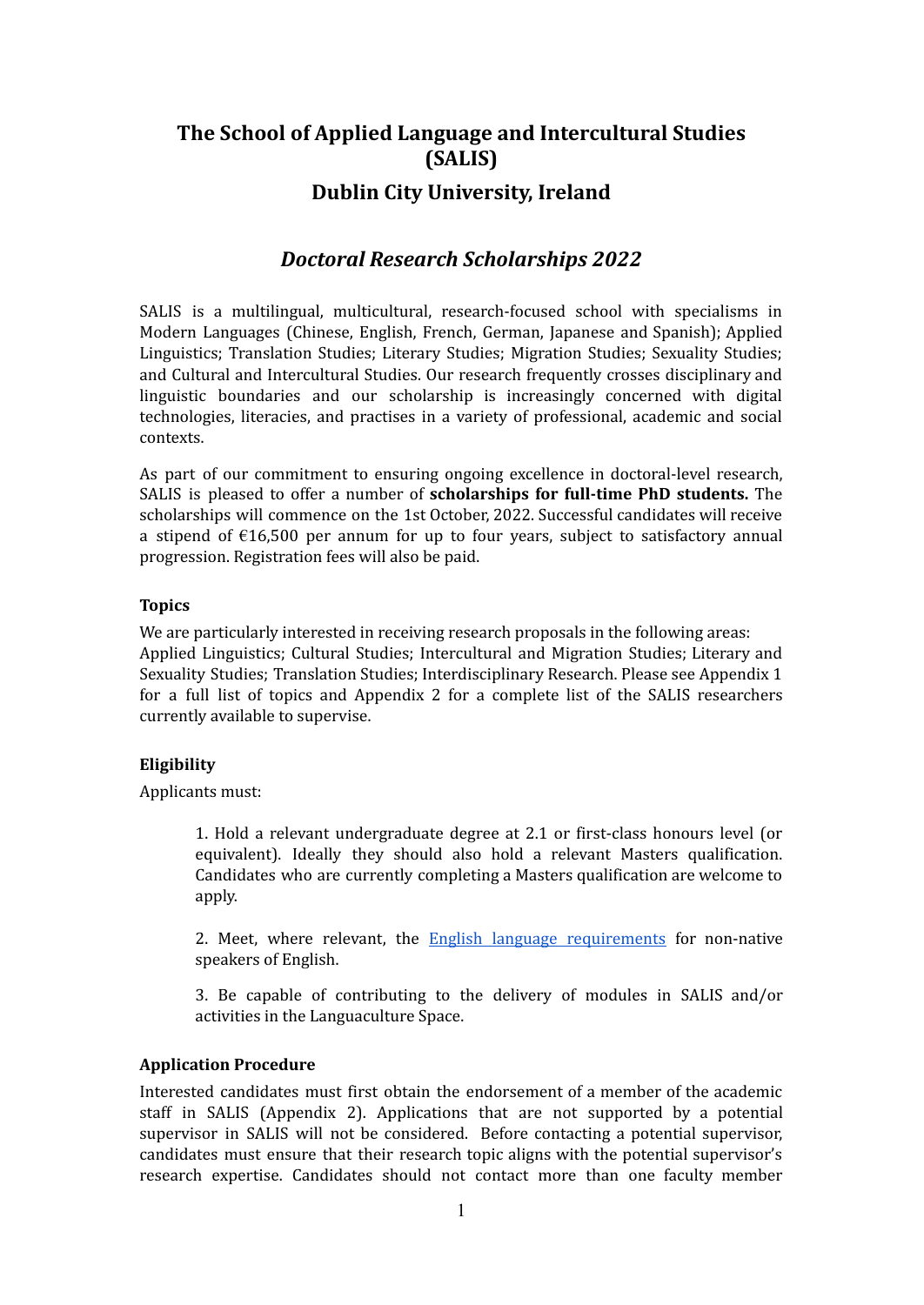# **The School of Applied Language and Intercultural Studies (SALIS) Dublin City University, Ireland**

### *Doctoral Research Scholarships 2022*

SALIS is a multilingual, multicultural, research-focused school with specialisms in Modern Languages (Chinese, English, French, German, Japanese and Spanish); Applied Linguistics; Translation Studies; Literary Studies; Migration Studies; Sexuality Studies; and Cultural and Intercultural Studies. Our research frequently crosses disciplinary and linguistic boundaries and our scholarship is increasingly concerned with digital technologies, literacies, and practises in a variety of professional, academic and social contexts.

As part of our commitment to ensuring ongoing excellence in doctoral-level research, SALIS is pleased to offer a number of **scholarships for full-time PhD students.** The scholarships will commence on the 1st October, 2022. Successful candidates will receive a stipend of  $E16,500$  per annum for up to four years, subject to satisfactory annual progression. Registration fees will also be paid.

#### **Topics**

We are particularly interested in receiving research proposals in the following areas: Applied Linguistics; Cultural Studies; Intercultural and Migration Studies; Literary and Sexuality Studies; Translation Studies; Interdisciplinary Research. Please see Appendix 1 for a full list of topics and Appendix 2 for a complete list of the SALIS researchers currently available to supervise.

#### **Eligibility**

Applicants must:

1. Hold a relevant undergraduate degree at 2.1 or first-class honours level (or equivalent). Ideally they should also hold a relevant Masters qualification. Candidates who are currently completing a Masters qualification are welcome to apply.

2. Meet, where relevant, the English language [requirements](https://www.dcu.ie/registry/english.shtml) for non-native speakers of English.

3. Be capable of contributing to the delivery of modules in SALIS and/or activities in the Languaculture Space.

#### **Application Procedure**

Interested candidates must first obtain the endorsement of a member of the academic staff in SALIS (Appendix 2). Applications that are not supported by a potential supervisor in SALIS will not be considered. Before contacting a potential supervisor, candidates must ensure that their research topic aligns with the potential supervisor's research expertise. Candidates should not contact more than one faculty member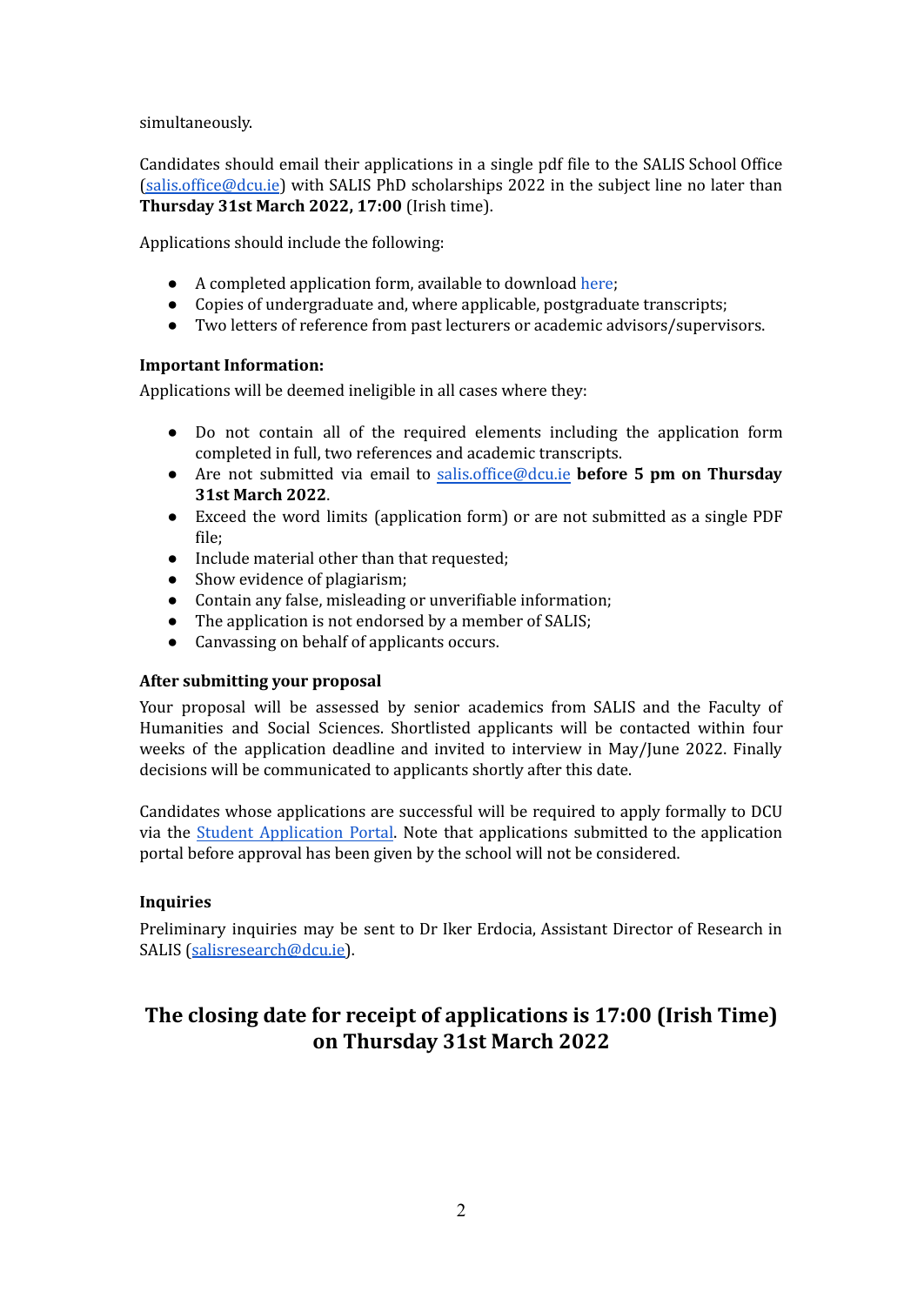simultaneously.

Candidates should email their applications in a single pdf file to the SALIS School Office [\(salis.office@dcu.ie](mailto:salis.office@dcu.ie)) with SALIS PhD scholarships 2022 in the subject line no later than **Thursday 31st March 2022, 17:00** (Irish time).

Applications should include the following:

- A completed application form, available to download [here;](https://www.dcu.ie/sites/default/files/salis/docs/salis_phd_application_form_2019_non_scholarship.docx)
- Copies of undergraduate and, where applicable, postgraduate transcripts;
- Two letters of reference from past lecturers or academic advisors/supervisors.

#### **Important Information:**

Applications will be deemed ineligible in all cases where they:

- Do not contain all of the required elements including the application form completed in full, two references and academic transcripts.
- Are not submitted via email to [salis.office@dcu.ie](mailto:SALIS.OFFICE@DCU.IE) **before 5 pm on Thursday 31st March 2022**.
- Exceed the word limits (application form) or are not submitted as a single PDF file;
- Include material other than that requested;
- Show evidence of plagiarism;
- Contain any false, misleading or unverifiable information;
- The application is not endorsed by a member of SALIS;
- Canvassing on behalf of applicants occurs.

#### **After submitting your proposal**

Your proposal will be assessed by senior academics from SALIS and the Faculty of Humanities and Social Sciences. Shortlisted applicants will be contacted within four weeks of the application deadline and invited to interview in May/June 2022. Finally decisions will be communicated to applicants shortly after this date.

Candidates whose applications are successful will be required to apply formally to DCU via the Student [Application](https://dcuie.elluciancrmrecruit.com/Apply/Account/Login?ReturnUrl=/Apply/) Portal. Note that applications submitted to the application portal before approval has been given by the school will not be considered.

#### **Inquiries**

Preliminary inquiries may be sent to Dr Iker Erdocia, Assistant Director of Research in SALIS ([salisresearch@dcu.ie\)](mailto:salisresearch@dcu.ie).

## **The closing date for receipt of applications is 17:00 (Irish Time) on Thursday 31st March 2022**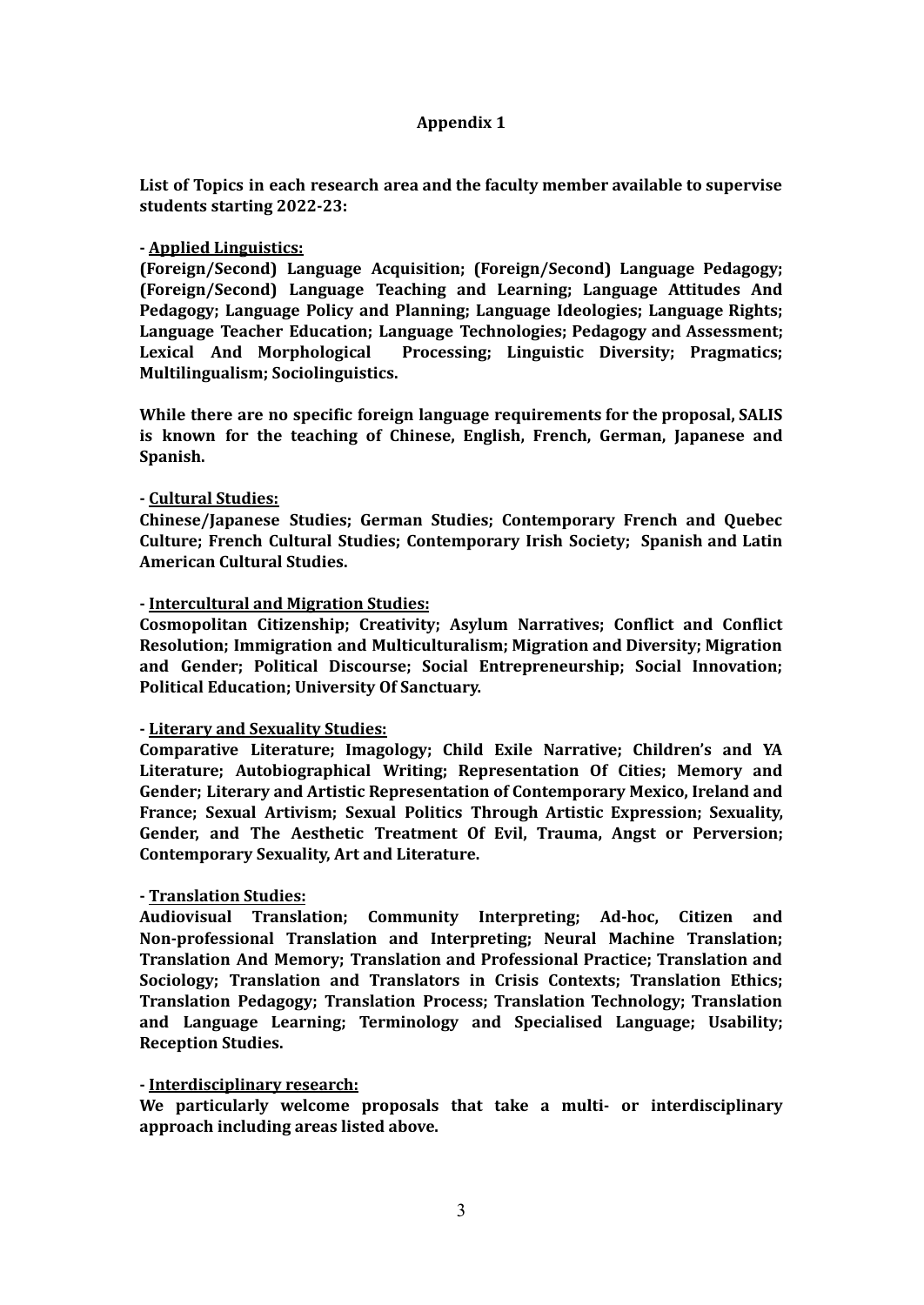#### **Appendix 1**

**List of Topics in each research area and the faculty member available to supervise students starting 2022-23:**

#### **- Applied Linguistics:**

**(Foreign/Second) Language Acquisition; (Foreign/Second) Language Pedagogy; (Foreign/Second) Language Teaching and Learning; Language Attitudes And Pedagogy; Language Policy and Planning; Language Ideologies; Language Rights; Language Teacher Education; Language Technologies; Pedagogy and Assessment; Lexical And Morphological Processing; Linguistic Diversity; Pragmatics; Multilingualism; Sociolinguistics.**

**While there are no specific foreign language requirements for the proposal, SALIS is known for the teaching of Chinese, English, French, German, Japanese and Spanish.**

#### **- Cultural Studies:**

**Chinese/Japanese Studies; German Studies; Contemporary French and Quebec Culture; French Cultural Studies; Contemporary Irish Society; Spanish and Latin American Cultural Studies.**

#### **- Intercultural and Migration Studies:**

**Cosmopolitan Citizenship; Creativity; Asylum Narratives; Conflict and Conflict Resolution; Immigration and Multiculturalism; Migration and Diversity; Migration and Gender; Political Discourse; Social Entrepreneurship; Social Innovation; Political Education; University Of Sanctuary.**

#### **- Literary and Sexuality Studies:**

**Comparative Literature; Imagology; Child Exile Narrative; Children's and YA Literature; Autobiographical Writing; Representation Of Cities; Memory and Gender; Literary and Artistic Representation of Contemporary Mexico, Ireland and France; Sexual Artivism; Sexual Politics Through Artistic Expression; Sexuality, Gender, and The Aesthetic Treatment Of Evil, Trauma, Angst or Perversion; Contemporary Sexuality, Art and Literature.**

#### **- Translation Studies:**

**Audiovisual Translation; Community Interpreting; Ad-hoc, Citizen and Non-professional Translation and Interpreting; Neural Machine Translation; Translation And Memory; Translation and Professional Practice; Translation and Sociology; Translation and Translators in Crisis Contexts; Translation Ethics; Translation Pedagogy; Translation Process; Translation Technology; Translation and Language Learning; Terminology and Specialised Language; Usability; Reception Studies.**

#### **- Interdisciplinary research:**

**We particularly welcome proposals that take a multi- or interdisciplinary approach including areas listed above.**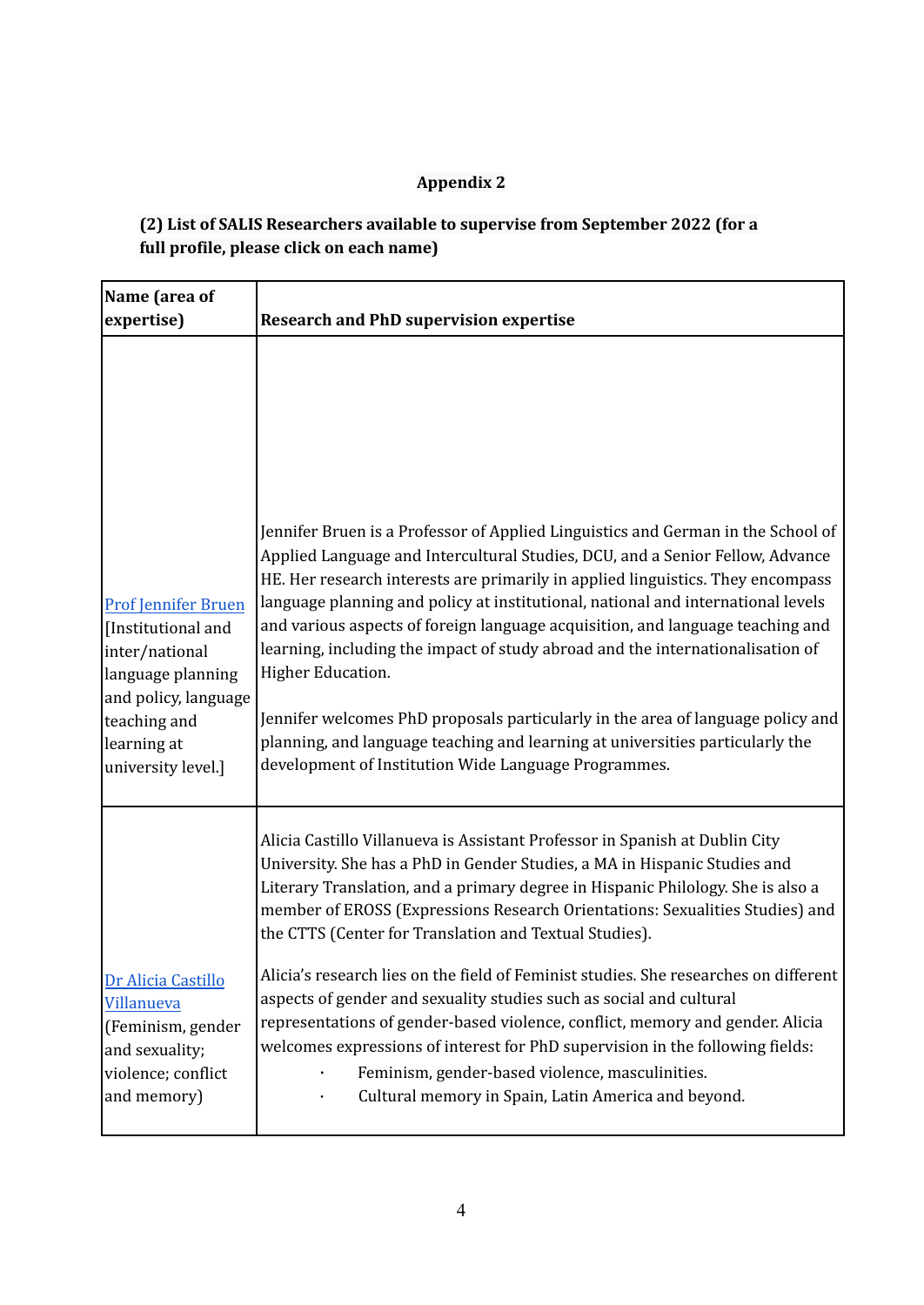## **Appendix 2**

### **(2) List of SALIS Researchers available to supervise from September 2022 (for a full profile, please click on each name)**

| Name (area of<br>expertise)                                                                                                                                          | <b>Research and PhD supervision expertise</b>                                                                                                                                                                                                                                                                                                                                                                                                                                                                                                                                                                                                                                                                                                                 |
|----------------------------------------------------------------------------------------------------------------------------------------------------------------------|---------------------------------------------------------------------------------------------------------------------------------------------------------------------------------------------------------------------------------------------------------------------------------------------------------------------------------------------------------------------------------------------------------------------------------------------------------------------------------------------------------------------------------------------------------------------------------------------------------------------------------------------------------------------------------------------------------------------------------------------------------------|
| <b>Prof Jennifer Bruen</b><br>[Institutional and<br>inter/national<br>language planning<br>and policy, language<br>teaching and<br>learning at<br>university level.] | Jennifer Bruen is a Professor of Applied Linguistics and German in the School of<br>Applied Language and Intercultural Studies, DCU, and a Senior Fellow, Advance<br>HE. Her research interests are primarily in applied linguistics. They encompass<br>language planning and policy at institutional, national and international levels<br>and various aspects of foreign language acquisition, and language teaching and<br>learning, including the impact of study abroad and the internationalisation of<br>Higher Education.<br>Jennifer welcomes PhD proposals particularly in the area of language policy and<br>planning, and language teaching and learning at universities particularly the<br>development of Institution Wide Language Programmes. |
|                                                                                                                                                                      | Alicia Castillo Villanueva is Assistant Professor in Spanish at Dublin City<br>University. She has a PhD in Gender Studies, a MA in Hispanic Studies and<br>Literary Translation, and a primary degree in Hispanic Philology. She is also a<br>member of EROSS (Expressions Research Orientations: Sexualities Studies) and<br>the CTTS (Center for Translation and Textual Studies).                                                                                                                                                                                                                                                                                                                                                                         |
| Dr Alicia Castillo<br>Villanueva<br>(Feminism, gender<br>and sexuality;<br>violence; conflict<br>and memory)                                                         | Alicia's research lies on the field of Feminist studies. She researches on different<br>aspects of gender and sexuality studies such as social and cultural<br>representations of gender-based violence, conflict, memory and gender. Alicia<br>welcomes expressions of interest for PhD supervision in the following fields:<br>Feminism, gender-based violence, masculinities.<br>Cultural memory in Spain, Latin America and beyond.                                                                                                                                                                                                                                                                                                                       |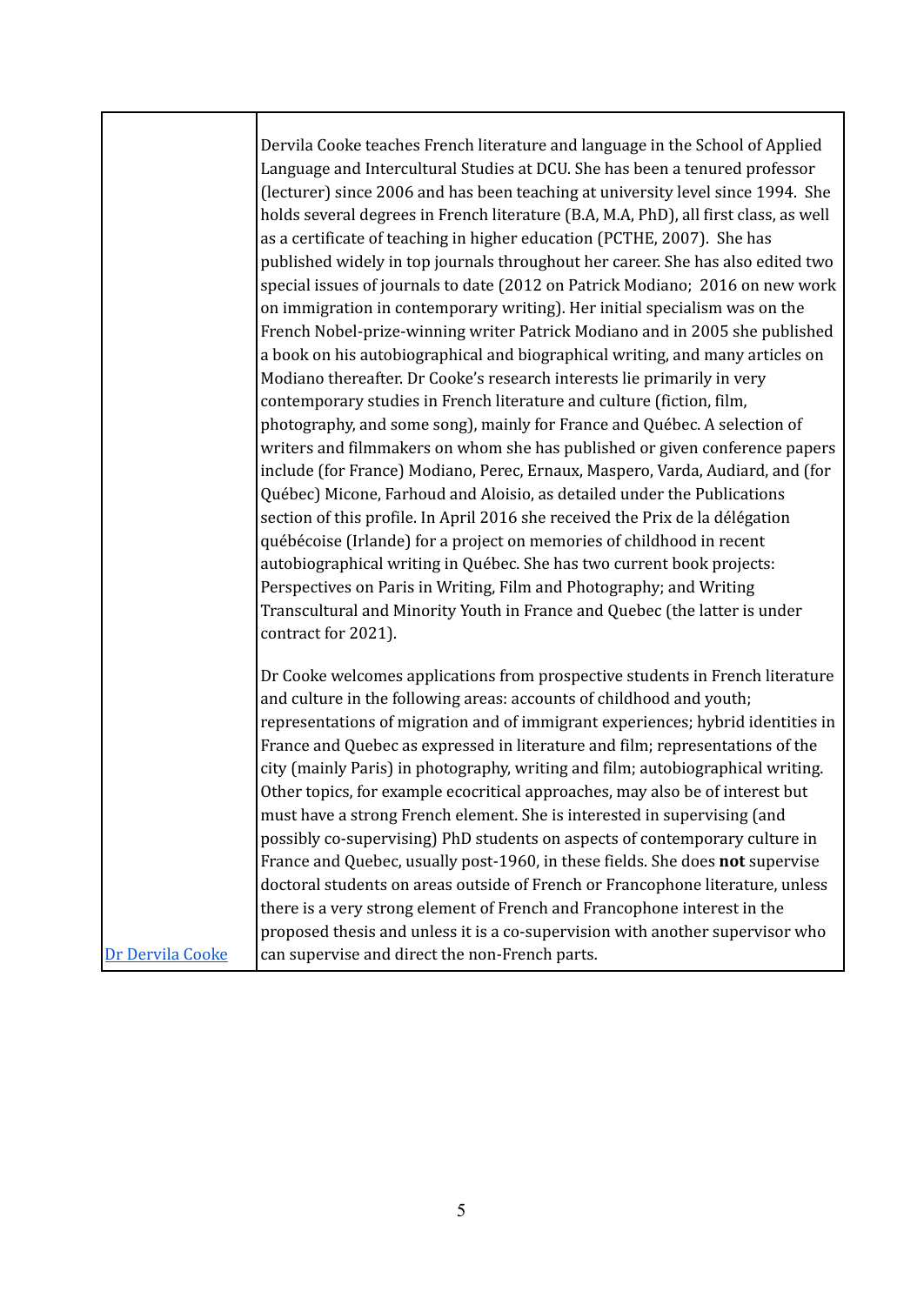|                  | Dervila Cooke teaches French literature and language in the School of Applied<br>Language and Intercultural Studies at DCU. She has been a tenured professor<br>(lecturer) since 2006 and has been teaching at university level since 1994. She<br>holds several degrees in French literature (B.A, M.A, PhD), all first class, as well<br>as a certificate of teaching in higher education (PCTHE, 2007). She has<br>published widely in top journals throughout her career. She has also edited two<br>special issues of journals to date (2012 on Patrick Modiano; 2016 on new work<br>on immigration in contemporary writing). Her initial specialism was on the<br>French Nobel-prize-winning writer Patrick Modiano and in 2005 she published<br>a book on his autobiographical and biographical writing, and many articles on<br>Modiano thereafter. Dr Cooke's research interests lie primarily in very<br>contemporary studies in French literature and culture (fiction, film,<br>photography, and some song), mainly for France and Québec. A selection of<br>writers and filmmakers on whom she has published or given conference papers<br>include (for France) Modiano, Perec, Ernaux, Maspero, Varda, Audiard, and (for<br>Québec) Micone, Farhoud and Aloisio, as detailed under the Publications<br>section of this profile. In April 2016 she received the Prix de la délégation<br>québécoise (Irlande) for a project on memories of childhood in recent<br>autobiographical writing in Québec. She has two current book projects:<br>Perspectives on Paris in Writing, Film and Photography; and Writing<br>Transcultural and Minority Youth in France and Quebec (the latter is under<br>contract for 2021). |
|------------------|-----------------------------------------------------------------------------------------------------------------------------------------------------------------------------------------------------------------------------------------------------------------------------------------------------------------------------------------------------------------------------------------------------------------------------------------------------------------------------------------------------------------------------------------------------------------------------------------------------------------------------------------------------------------------------------------------------------------------------------------------------------------------------------------------------------------------------------------------------------------------------------------------------------------------------------------------------------------------------------------------------------------------------------------------------------------------------------------------------------------------------------------------------------------------------------------------------------------------------------------------------------------------------------------------------------------------------------------------------------------------------------------------------------------------------------------------------------------------------------------------------------------------------------------------------------------------------------------------------------------------------------------------------------------------------------------------------------------------------------|
|                  | Dr Cooke welcomes applications from prospective students in French literature<br>and culture in the following areas: accounts of childhood and youth;<br>representations of migration and of immigrant experiences; hybrid identities in<br>France and Quebec as expressed in literature and film; representations of the<br>city (mainly Paris) in photography, writing and film; autobiographical writing.<br>Other topics, for example ecocritical approaches, may also be of interest but<br>must have a strong French element. She is interested in supervising (and<br>possibly co-supervising) PhD students on aspects of contemporary culture in<br>France and Quebec, usually post-1960, in these fields. She does not supervise<br>doctoral students on areas outside of French or Francophone literature, unless<br>there is a very strong element of French and Francophone interest in the<br>proposed thesis and unless it is a co-supervision with another supervisor who                                                                                                                                                                                                                                                                                                                                                                                                                                                                                                                                                                                                                                                                                                                                          |
| Dr Dervila Cooke | can supervise and direct the non-French parts.                                                                                                                                                                                                                                                                                                                                                                                                                                                                                                                                                                                                                                                                                                                                                                                                                                                                                                                                                                                                                                                                                                                                                                                                                                                                                                                                                                                                                                                                                                                                                                                                                                                                                    |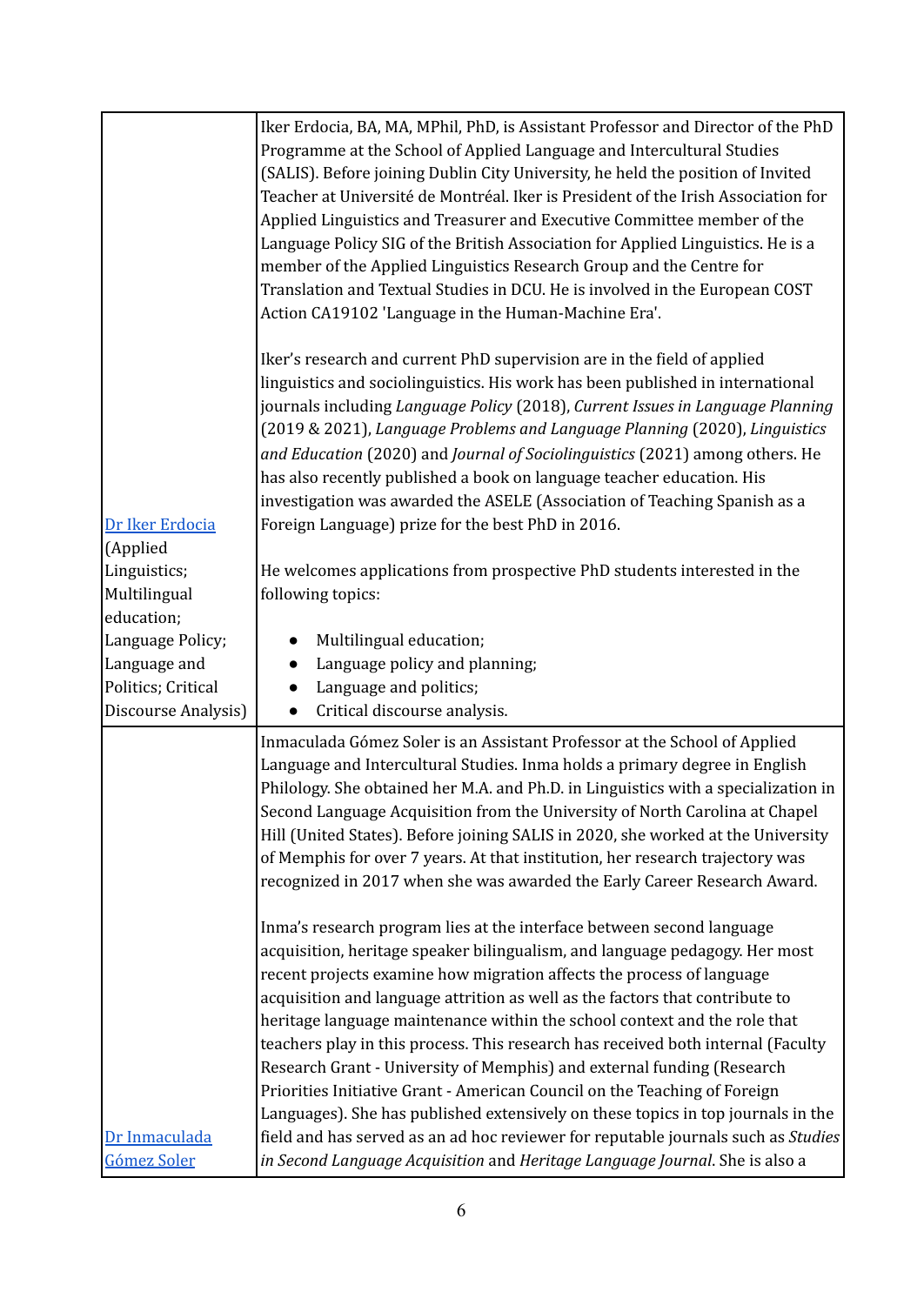|                             | Iker Erdocia, BA, MA, MPhil, PhD, is Assistant Professor and Director of the PhD   |
|-----------------------------|------------------------------------------------------------------------------------|
|                             | Programme at the School of Applied Language and Intercultural Studies              |
|                             | (SALIS). Before joining Dublin City University, he held the position of Invited    |
|                             | Teacher at Université de Montréal. Iker is President of the Irish Association for  |
|                             | Applied Linguistics and Treasurer and Executive Committee member of the            |
|                             | Language Policy SIG of the British Association for Applied Linguistics. He is a    |
|                             | member of the Applied Linguistics Research Group and the Centre for                |
|                             | Translation and Textual Studies in DCU. He is involved in the European COST        |
|                             | Action CA19102 'Language in the Human-Machine Era'.                                |
|                             |                                                                                    |
|                             | Iker's research and current PhD supervision are in the field of applied            |
|                             | linguistics and sociolinguistics. His work has been published in international     |
|                             | journals including Language Policy (2018), Current Issues in Language Planning     |
|                             | (2019 & 2021), Language Problems and Language Planning (2020), Linguistics         |
|                             | and Education (2020) and Journal of Sociolinguistics (2021) among others. He       |
|                             |                                                                                    |
|                             | has also recently published a book on language teacher education. His              |
|                             | investigation was awarded the ASELE (Association of Teaching Spanish as a          |
| Dr Iker Erdocia<br>(Applied | Foreign Language) prize for the best PhD in 2016.                                  |
| Linguistics;                | He welcomes applications from prospective PhD students interested in the           |
| Multilingual                | following topics:                                                                  |
| education;                  |                                                                                    |
| Language Policy;            | Multilingual education;                                                            |
| Language and                | Language policy and planning;                                                      |
| Politics; Critical          | Language and politics;                                                             |
| Discourse Analysis)         | Critical discourse analysis.<br>$\bullet$                                          |
|                             | Inmaculada Gómez Soler is an Assistant Professor at the School of Applied          |
|                             | Language and Intercultural Studies. Inma holds a primary degree in English         |
|                             |                                                                                    |
|                             | Philology. She obtained her M.A. and Ph.D. in Linguistics with a specialization in |
|                             | Second Language Acquisition from the University of North Carolina at Chapel        |
|                             | Hill (United States). Before joining SALIS in 2020, she worked at the University   |
|                             | of Memphis for over 7 years. At that institution, her research trajectory was      |
|                             | recognized in 2017 when she was awarded the Early Career Research Award.           |
|                             | Inma's research program lies at the interface between second language              |
|                             | acquisition, heritage speaker bilingualism, and language pedagogy. Her most        |
|                             |                                                                                    |
|                             | recent projects examine how migration affects the process of language              |
|                             | acquisition and language attrition as well as the factors that contribute to       |
|                             | heritage language maintenance within the school context and the role that          |
|                             | teachers play in this process. This research has received both internal (Faculty   |
|                             | Research Grant - University of Memphis) and external funding (Research             |
|                             | Priorities Initiative Grant - American Council on the Teaching of Foreign          |
|                             | Languages). She has published extensively on these topics in top journals in the   |
| Dr Inmaculada               | field and has served as an ad hoc reviewer for reputable journals such as Studies  |
| Gómez Soler                 | in Second Language Acquisition and Heritage Language Journal. She is also a        |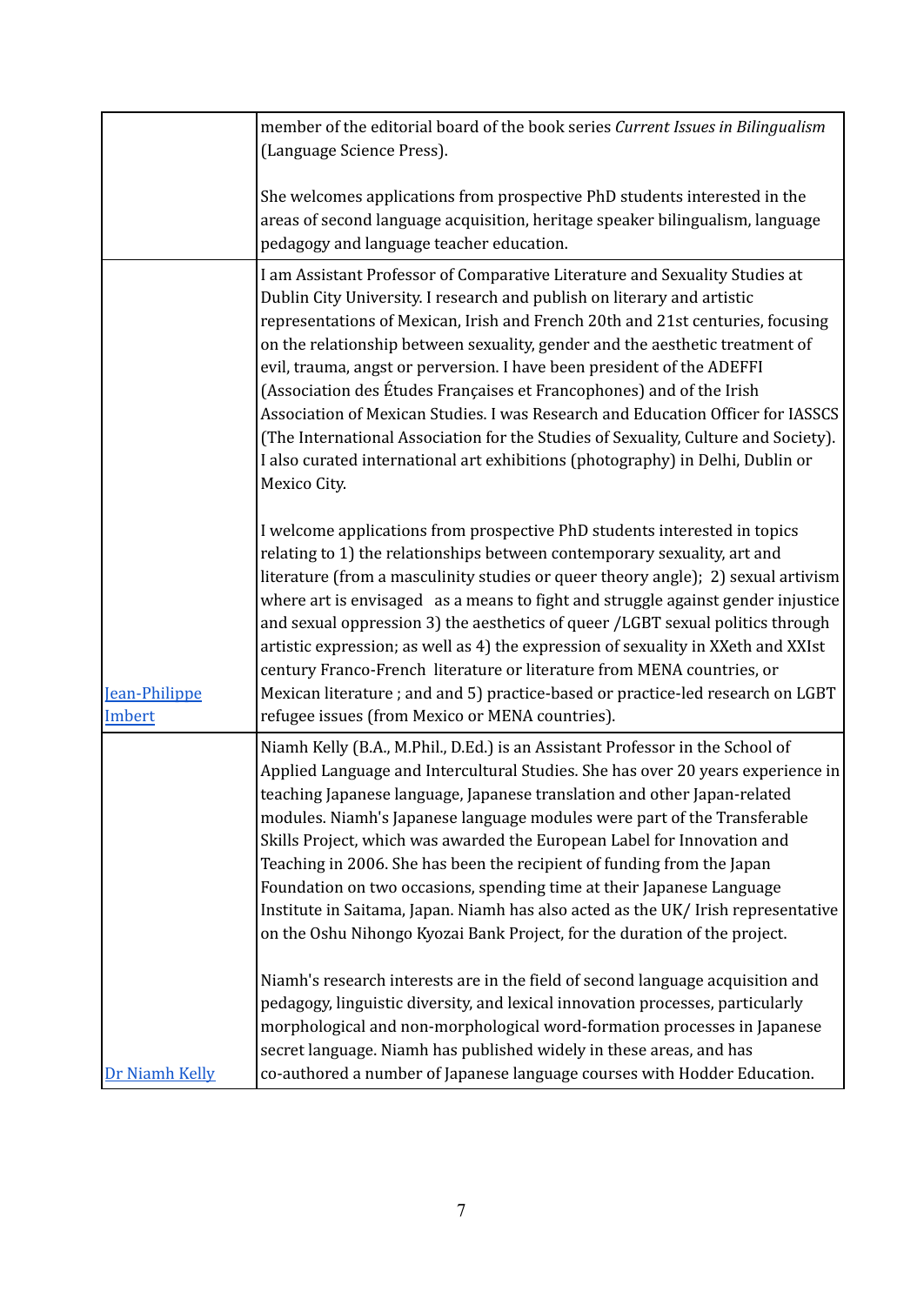|                         | member of the editorial board of the book series Current Issues in Bilingualism<br>(Language Science Press).                                                                                                                                                                                                                                                                                                                                                                                                                                                                                                                                                                                                                                          |
|-------------------------|-------------------------------------------------------------------------------------------------------------------------------------------------------------------------------------------------------------------------------------------------------------------------------------------------------------------------------------------------------------------------------------------------------------------------------------------------------------------------------------------------------------------------------------------------------------------------------------------------------------------------------------------------------------------------------------------------------------------------------------------------------|
|                         | She welcomes applications from prospective PhD students interested in the<br>areas of second language acquisition, heritage speaker bilingualism, language<br>pedagogy and language teacher education.                                                                                                                                                                                                                                                                                                                                                                                                                                                                                                                                                |
|                         | I am Assistant Professor of Comparative Literature and Sexuality Studies at<br>Dublin City University. I research and publish on literary and artistic<br>representations of Mexican, Irish and French 20th and 21st centuries, focusing<br>on the relationship between sexuality, gender and the aesthetic treatment of<br>evil, trauma, angst or perversion. I have been president of the ADEFFI<br>(Association des Études Françaises et Francophones) and of the Irish<br>Association of Mexican Studies. I was Research and Education Officer for IASSCS<br>(The International Association for the Studies of Sexuality, Culture and Society).<br>I also curated international art exhibitions (photography) in Delhi, Dublin or<br>Mexico City. |
| Jean-Philippe<br>Imbert | I welcome applications from prospective PhD students interested in topics<br>relating to 1) the relationships between contemporary sexuality, art and<br>literature (from a masculinity studies or queer theory angle); 2) sexual artivism<br>where art is envisaged as a means to fight and struggle against gender injustice<br>and sexual oppression 3) the aesthetics of queer /LGBT sexual politics through<br>artistic expression; as well as 4) the expression of sexuality in XXeth and XXIst<br>century Franco-French literature or literature from MENA countries, or<br>Mexican literature; and and 5) practice-based or practice-led research on LGBT<br>refugee issues (from Mexico or MENA countries).                                  |
|                         | Niamh Kelly (B.A., M.Phil., D.Ed.) is an Assistant Professor in the School of<br>Applied Language and Intercultural Studies. She has over 20 years experience in<br>teaching Japanese language, Japanese translation and other Japan-related<br>modules. Niamh's Japanese language modules were part of the Transferable<br>Skills Project, which was awarded the European Label for Innovation and<br>Teaching in 2006. She has been the recipient of funding from the Japan<br>Foundation on two occasions, spending time at their Japanese Language<br>Institute in Saitama, Japan. Niamh has also acted as the UK/ Irish representative<br>on the Oshu Nihongo Kyozai Bank Project, for the duration of the project.                              |
| Dr Niamh Kelly          | Niamh's research interests are in the field of second language acquisition and<br>pedagogy, linguistic diversity, and lexical innovation processes, particularly<br>morphological and non-morphological word-formation processes in Japanese<br>secret language. Niamh has published widely in these areas, and has<br>co-authored a number of Japanese language courses with Hodder Education.                                                                                                                                                                                                                                                                                                                                                       |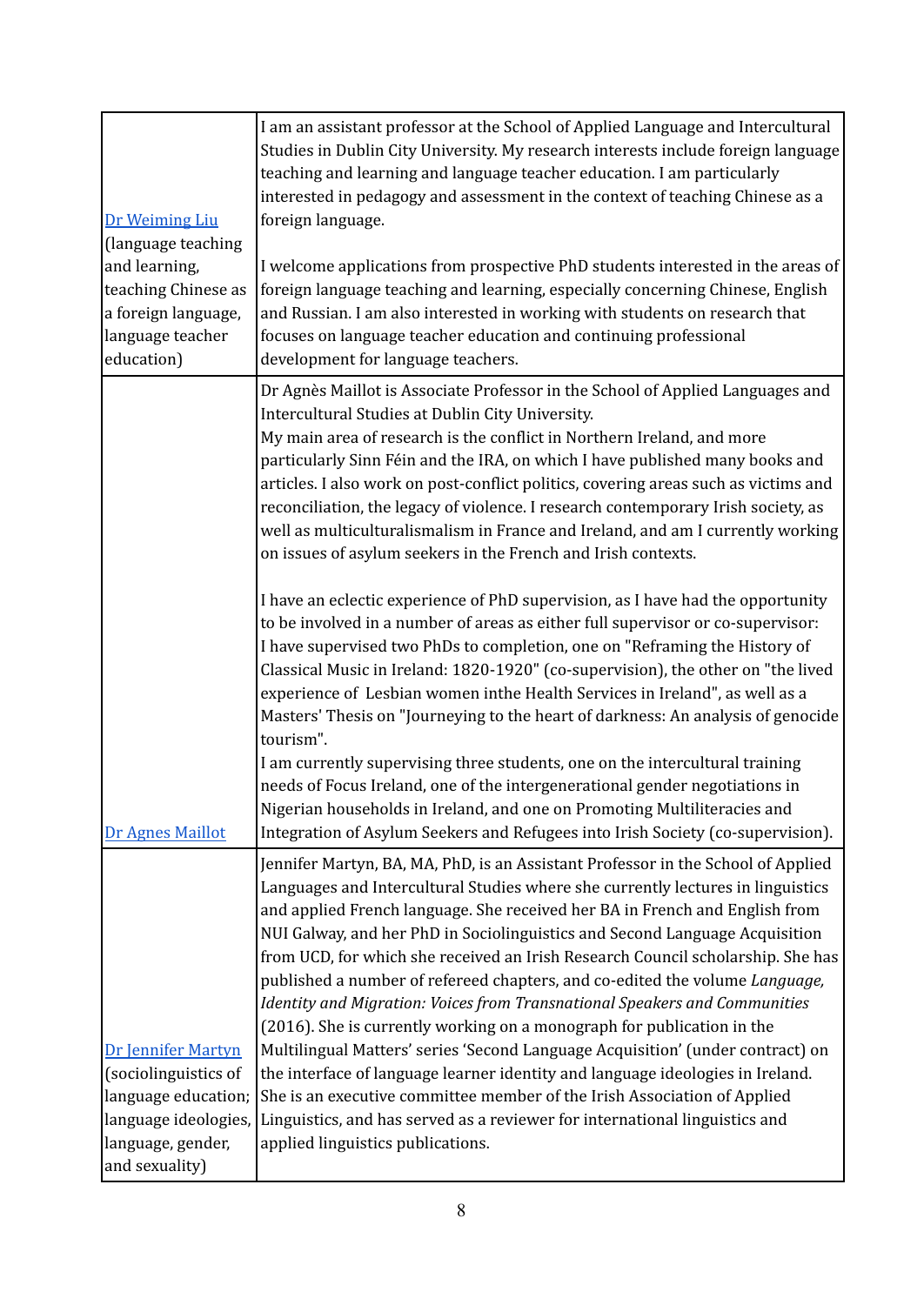|                                             | I am an assistant professor at the School of Applied Language and Intercultural                                                                                   |
|---------------------------------------------|-------------------------------------------------------------------------------------------------------------------------------------------------------------------|
|                                             | Studies in Dublin City University. My research interests include foreign language                                                                                 |
|                                             | teaching and learning and language teacher education. I am particularly                                                                                           |
|                                             | interested in pedagogy and assessment in the context of teaching Chinese as a                                                                                     |
| Dr Weiming Liu                              | foreign language.                                                                                                                                                 |
| (language teaching                          |                                                                                                                                                                   |
| and learning,<br>teaching Chinese as        | I welcome applications from prospective PhD students interested in the areas of<br>foreign language teaching and learning, especially concerning Chinese, English |
| a foreign language,                         | and Russian. I am also interested in working with students on research that                                                                                       |
| language teacher                            | focuses on language teacher education and continuing professional                                                                                                 |
| education)                                  | development for language teachers.                                                                                                                                |
|                                             |                                                                                                                                                                   |
|                                             | Dr Agnès Maillot is Associate Professor in the School of Applied Languages and                                                                                    |
|                                             | Intercultural Studies at Dublin City University.<br>My main area of research is the conflict in Northern Ireland, and more                                        |
|                                             | particularly Sinn Féin and the IRA, on which I have published many books and                                                                                      |
|                                             | articles. I also work on post-conflict politics, covering areas such as victims and                                                                               |
|                                             | reconciliation, the legacy of violence. I research contemporary Irish society, as                                                                                 |
|                                             | well as multiculturalismalism in France and Ireland, and am I currently working                                                                                   |
|                                             | on issues of asylum seekers in the French and Irish contexts.                                                                                                     |
|                                             |                                                                                                                                                                   |
|                                             | I have an eclectic experience of PhD supervision, as I have had the opportunity                                                                                   |
|                                             | to be involved in a number of areas as either full supervisor or co-supervisor:                                                                                   |
|                                             | I have supervised two PhDs to completion, one on "Reframing the History of                                                                                        |
|                                             | Classical Music in Ireland: 1820-1920" (co-supervision), the other on "the lived                                                                                  |
|                                             | experience of Lesbian women inthe Health Services in Ireland", as well as a                                                                                       |
|                                             | Masters' Thesis on "Journeying to the heart of darkness: An analysis of genocide                                                                                  |
|                                             | tourism".                                                                                                                                                         |
|                                             | I am currently supervising three students, one on the intercultural training                                                                                      |
|                                             | needs of Focus Ireland, one of the intergenerational gender negotiations in                                                                                       |
|                                             | Nigerian households in Ireland, and one on Promoting Multiliteracies and                                                                                          |
| Dr Agnes Maillot                            | Integration of Asylum Seekers and Refugees into Irish Society (co-supervision).                                                                                   |
|                                             | Jennifer Martyn, BA, MA, PhD, is an Assistant Professor in the School of Applied                                                                                  |
|                                             | Languages and Intercultural Studies where she currently lectures in linguistics                                                                                   |
|                                             | and applied French language. She received her BA in French and English from                                                                                       |
|                                             | NUI Galway, and her PhD in Sociolinguistics and Second Language Acquisition                                                                                       |
|                                             | from UCD, for which she received an Irish Research Council scholarship. She has                                                                                   |
|                                             | published a number of refereed chapters, and co-edited the volume Language,                                                                                       |
|                                             | Identity and Migration: Voices from Transnational Speakers and Communities                                                                                        |
|                                             | (2016). She is currently working on a monograph for publication in the                                                                                            |
| Dr Jennifer Martyn                          | Multilingual Matters' series 'Second Language Acquisition' (under contract) on                                                                                    |
| (sociolinguistics of<br>language education; | the interface of language learner identity and language ideologies in Ireland.<br>She is an executive committee member of the Irish Association of Applied        |
| language ideologies,                        | Linguistics, and has served as a reviewer for international linguistics and                                                                                       |
| language, gender,                           | applied linguistics publications.                                                                                                                                 |
|                                             |                                                                                                                                                                   |
| and sexuality)                              |                                                                                                                                                                   |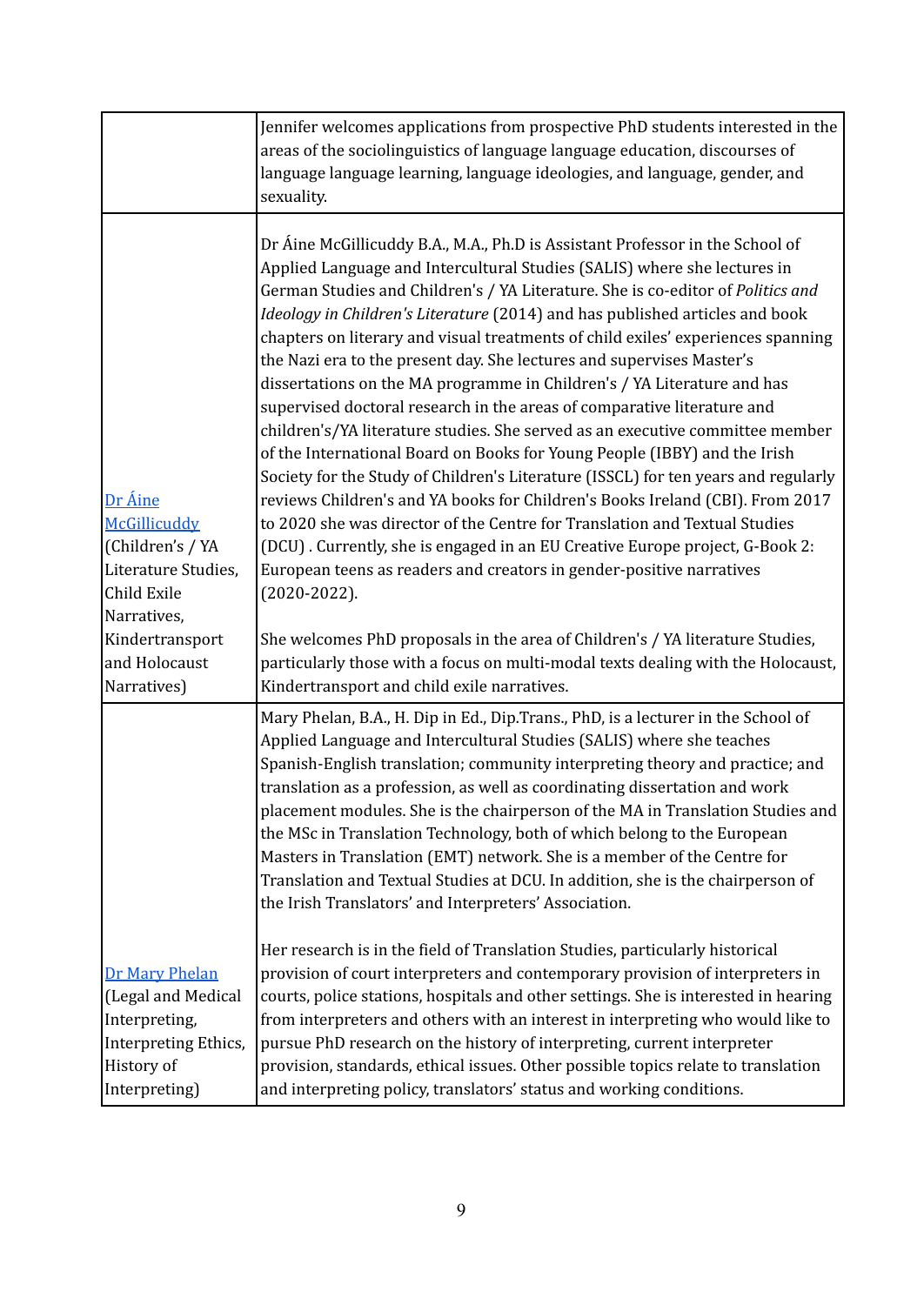|                                                                                                              | Jennifer welcomes applications from prospective PhD students interested in the<br>areas of the sociolinguistics of language language education, discourses of<br>language language learning, language ideologies, and language, gender, and<br>sexuality.                                                                                                                                                                                                                                                                                                                                                                                                                                                                                                                                                                                                                                                                                                                                                                                                                                                                                                                                                                                     |
|--------------------------------------------------------------------------------------------------------------|-----------------------------------------------------------------------------------------------------------------------------------------------------------------------------------------------------------------------------------------------------------------------------------------------------------------------------------------------------------------------------------------------------------------------------------------------------------------------------------------------------------------------------------------------------------------------------------------------------------------------------------------------------------------------------------------------------------------------------------------------------------------------------------------------------------------------------------------------------------------------------------------------------------------------------------------------------------------------------------------------------------------------------------------------------------------------------------------------------------------------------------------------------------------------------------------------------------------------------------------------|
| Dr Áine<br>McGillicuddy<br>(Children's / YA<br>Literature Studies,<br>Child Exile<br>Narratives,             | Dr Áine McGillicuddy B.A., M.A., Ph.D is Assistant Professor in the School of<br>Applied Language and Intercultural Studies (SALIS) where she lectures in<br>German Studies and Children's / YA Literature. She is co-editor of Politics and<br>Ideology in Children's Literature (2014) and has published articles and book<br>chapters on literary and visual treatments of child exiles' experiences spanning<br>the Nazi era to the present day. She lectures and supervises Master's<br>dissertations on the MA programme in Children's / YA Literature and has<br>supervised doctoral research in the areas of comparative literature and<br>children's/YA literature studies. She served as an executive committee member<br>of the International Board on Books for Young People (IBBY) and the Irish<br>Society for the Study of Children's Literature (ISSCL) for ten years and regularly<br>reviews Children's and YA books for Children's Books Ireland (CBI). From 2017<br>to 2020 she was director of the Centre for Translation and Textual Studies<br>(DCU). Currently, she is engaged in an EU Creative Europe project, G-Book 2:<br>European teens as readers and creators in gender-positive narratives<br>$(2020-2022)$ . |
| Kindertransport<br>and Holocaust<br>Narratives)                                                              | She welcomes PhD proposals in the area of Children's / YA literature Studies,<br>particularly those with a focus on multi-modal texts dealing with the Holocaust,<br>Kindertransport and child exile narratives.                                                                                                                                                                                                                                                                                                                                                                                                                                                                                                                                                                                                                                                                                                                                                                                                                                                                                                                                                                                                                              |
|                                                                                                              | Mary Phelan, B.A., H. Dip in Ed., Dip.Trans., PhD, is a lecturer in the School of<br>Applied Language and Intercultural Studies (SALIS) where she teaches<br>Spanish-English translation; community interpreting theory and practice; and<br>translation as a profession, as well as coordinating dissertation and work<br>placement modules. She is the chairperson of the MA in Translation Studies and<br>the MSc in Translation Technology, both of which belong to the European<br>Masters in Translation (EMT) network. She is a member of the Centre for<br>Translation and Textual Studies at DCU. In addition, she is the chairperson of<br>the Irish Translators' and Interpreters' Association.                                                                                                                                                                                                                                                                                                                                                                                                                                                                                                                                    |
| Dr Mary Phelan<br>(Legal and Medical<br>Interpreting,<br>Interpreting Ethics,<br>History of<br>Interpreting) | Her research is in the field of Translation Studies, particularly historical<br>provision of court interpreters and contemporary provision of interpreters in<br>courts, police stations, hospitals and other settings. She is interested in hearing<br>from interpreters and others with an interest in interpreting who would like to<br>pursue PhD research on the history of interpreting, current interpreter<br>provision, standards, ethical issues. Other possible topics relate to translation<br>and interpreting policy, translators' status and working conditions.                                                                                                                                                                                                                                                                                                                                                                                                                                                                                                                                                                                                                                                               |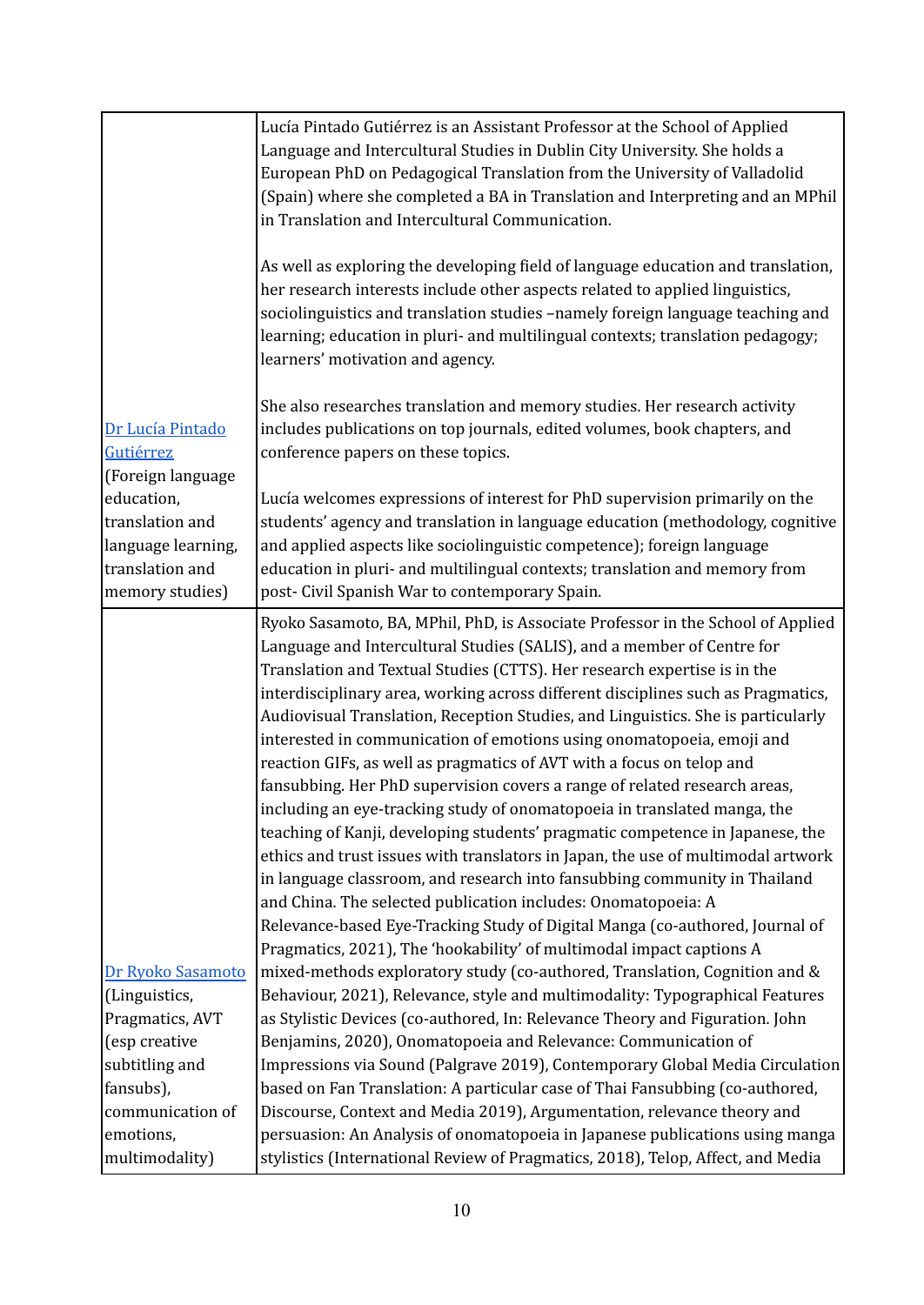|                                                                                           | Lucía Pintado Gutiérrez is an Assistant Professor at the School of Applied<br>Language and Intercultural Studies in Dublin City University. She holds a<br>European PhD on Pedagogical Translation from the University of Valladolid<br>(Spain) where she completed a BA in Translation and Interpreting and an MPhil<br>in Translation and Intercultural Communication.                                                                                                                                                                                                                                                                                                                                                                                                                                                                                                                                                                                                                                                                                                                                                                                                                            |
|-------------------------------------------------------------------------------------------|-----------------------------------------------------------------------------------------------------------------------------------------------------------------------------------------------------------------------------------------------------------------------------------------------------------------------------------------------------------------------------------------------------------------------------------------------------------------------------------------------------------------------------------------------------------------------------------------------------------------------------------------------------------------------------------------------------------------------------------------------------------------------------------------------------------------------------------------------------------------------------------------------------------------------------------------------------------------------------------------------------------------------------------------------------------------------------------------------------------------------------------------------------------------------------------------------------|
|                                                                                           | As well as exploring the developing field of language education and translation,<br>her research interests include other aspects related to applied linguistics,<br>sociolinguistics and translation studies -namely foreign language teaching and<br>learning; education in pluri- and multilingual contexts; translation pedagogy;<br>learners' motivation and agency.                                                                                                                                                                                                                                                                                                                                                                                                                                                                                                                                                                                                                                                                                                                                                                                                                            |
| Dr Lucía Pintado<br>Gutiérrez<br>(Foreign language                                        | She also researches translation and memory studies. Her research activity<br>includes publications on top journals, edited volumes, book chapters, and<br>conference papers on these topics.                                                                                                                                                                                                                                                                                                                                                                                                                                                                                                                                                                                                                                                                                                                                                                                                                                                                                                                                                                                                        |
| education,<br>translation and<br>language learning,<br>translation and<br>memory studies) | Lucía welcomes expressions of interest for PhD supervision primarily on the<br>students' agency and translation in language education (methodology, cognitive<br>and applied aspects like sociolinguistic competence); foreign language<br>education in pluri- and multilingual contexts; translation and memory from<br>post- Civil Spanish War to contemporary Spain.                                                                                                                                                                                                                                                                                                                                                                                                                                                                                                                                                                                                                                                                                                                                                                                                                             |
|                                                                                           | Ryoko Sasamoto, BA, MPhil, PhD, is Associate Professor in the School of Applied<br>Language and Intercultural Studies (SALIS), and a member of Centre for<br>Translation and Textual Studies (CTTS). Her research expertise is in the<br>interdisciplinary area, working across different disciplines such as Pragmatics,<br>Audiovisual Translation, Reception Studies, and Linguistics. She is particularly<br>interested in communication of emotions using onomatopoeia, emoji and<br>reaction GIFs, as well as pragmatics of AVT with a focus on telop and<br>fansubbing. Her PhD supervision covers a range of related research areas,<br>including an eye-tracking study of onomatopoeia in translated manga, the<br>teaching of Kanji, developing students' pragmatic competence in Japanese, the<br>ethics and trust issues with translators in Japan, the use of multimodal artwork<br>in language classroom, and research into fansubbing community in Thailand<br>and China. The selected publication includes: Onomatopoeia: A<br>Relevance-based Eye-Tracking Study of Digital Manga (co-authored, Journal of<br>Pragmatics, 2021), The 'hookability' of multimodal impact captions A |
| Dr Ryoko Sasamoto<br>(Linguistics,                                                        | mixed-methods exploratory study (co-authored, Translation, Cognition and &<br>Behaviour, 2021), Relevance, style and multimodality: Typographical Features                                                                                                                                                                                                                                                                                                                                                                                                                                                                                                                                                                                                                                                                                                                                                                                                                                                                                                                                                                                                                                          |
| Pragmatics, AVT                                                                           | as Stylistic Devices (co-authored, In: Relevance Theory and Figuration. John                                                                                                                                                                                                                                                                                                                                                                                                                                                                                                                                                                                                                                                                                                                                                                                                                                                                                                                                                                                                                                                                                                                        |
| (esp creative                                                                             | Benjamins, 2020), Onomatopoeia and Relevance: Communication of                                                                                                                                                                                                                                                                                                                                                                                                                                                                                                                                                                                                                                                                                                                                                                                                                                                                                                                                                                                                                                                                                                                                      |
| subtitling and                                                                            | Impressions via Sound (Palgrave 2019), Contemporary Global Media Circulation                                                                                                                                                                                                                                                                                                                                                                                                                                                                                                                                                                                                                                                                                                                                                                                                                                                                                                                                                                                                                                                                                                                        |
| fansubs),                                                                                 | based on Fan Translation: A particular case of Thai Fansubbing (co-authored,                                                                                                                                                                                                                                                                                                                                                                                                                                                                                                                                                                                                                                                                                                                                                                                                                                                                                                                                                                                                                                                                                                                        |
| communication of                                                                          | Discourse, Context and Media 2019), Argumentation, relevance theory and                                                                                                                                                                                                                                                                                                                                                                                                                                                                                                                                                                                                                                                                                                                                                                                                                                                                                                                                                                                                                                                                                                                             |
| emotions,                                                                                 | persuasion: An Analysis of onomatopoeia in Japanese publications using manga                                                                                                                                                                                                                                                                                                                                                                                                                                                                                                                                                                                                                                                                                                                                                                                                                                                                                                                                                                                                                                                                                                                        |
| multimodality)                                                                            | stylistics (International Review of Pragmatics, 2018), Telop, Affect, and Media                                                                                                                                                                                                                                                                                                                                                                                                                                                                                                                                                                                                                                                                                                                                                                                                                                                                                                                                                                                                                                                                                                                     |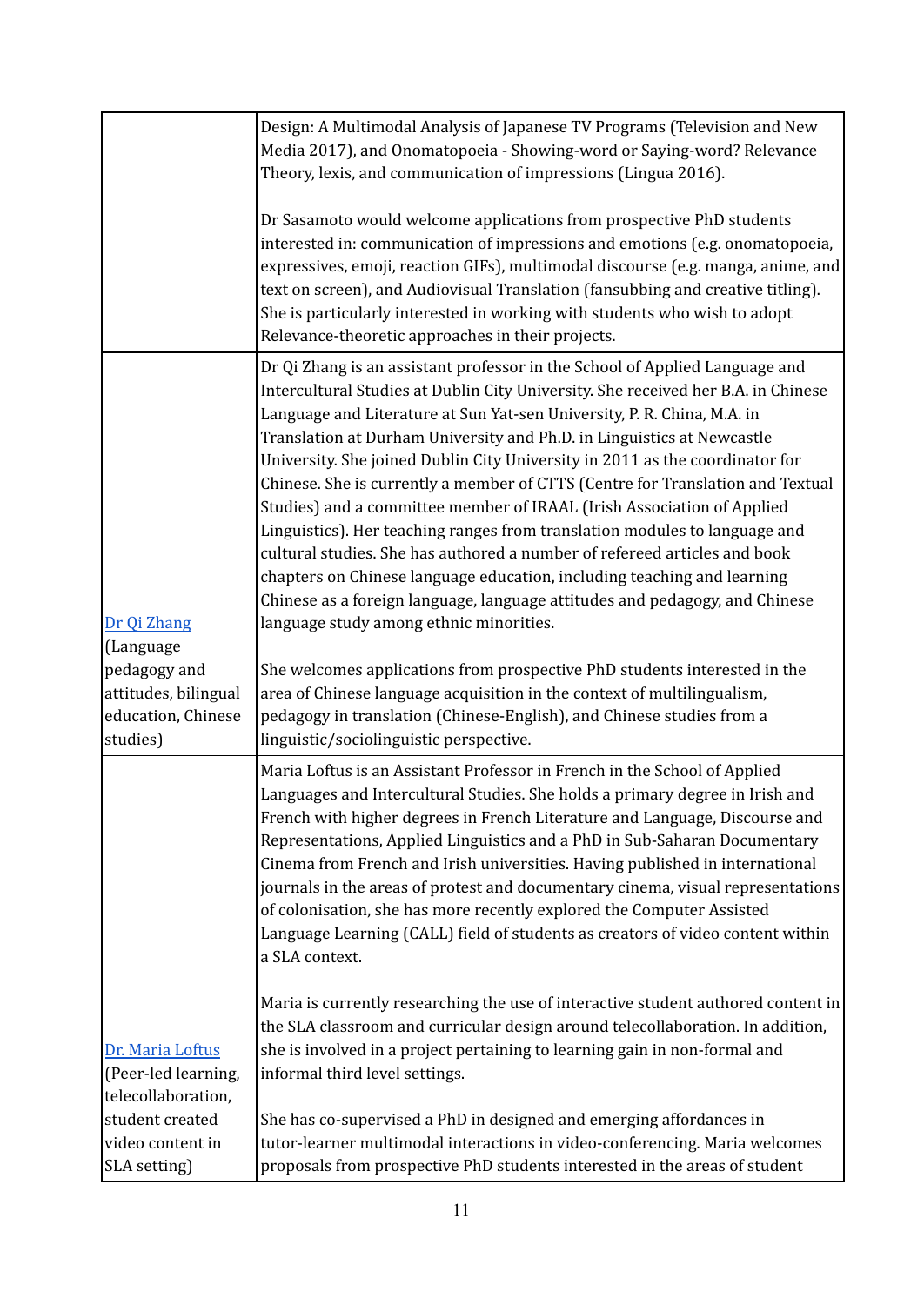|                                                                                                    | Design: A Multimodal Analysis of Japanese TV Programs (Television and New<br>Media 2017), and Onomatopoeia - Showing-word or Saying-word? Relevance<br>Theory, lexis, and communication of impressions (Lingua 2016).                                                                                                                                                                                                                                                                                                                                                                                                                                                                                                                                                                                                                                                                                                                                                                                                                                                                                                                                                                                         |
|----------------------------------------------------------------------------------------------------|---------------------------------------------------------------------------------------------------------------------------------------------------------------------------------------------------------------------------------------------------------------------------------------------------------------------------------------------------------------------------------------------------------------------------------------------------------------------------------------------------------------------------------------------------------------------------------------------------------------------------------------------------------------------------------------------------------------------------------------------------------------------------------------------------------------------------------------------------------------------------------------------------------------------------------------------------------------------------------------------------------------------------------------------------------------------------------------------------------------------------------------------------------------------------------------------------------------|
|                                                                                                    | Dr Sasamoto would welcome applications from prospective PhD students<br>interested in: communication of impressions and emotions (e.g. onomatopoeia,<br>expressives, emoji, reaction GIFs), multimodal discourse (e.g. manga, anime, and<br>text on screen), and Audiovisual Translation (fansubbing and creative titling).<br>She is particularly interested in working with students who wish to adopt<br>Relevance-theoretic approaches in their projects.                                                                                                                                                                                                                                                                                                                                                                                                                                                                                                                                                                                                                                                                                                                                                 |
| Dr Qi Zhang<br>(Language<br>pedagogy and<br>attitudes, bilingual<br>education, Chinese<br>studies) | Dr Qi Zhang is an assistant professor in the School of Applied Language and<br>Intercultural Studies at Dublin City University. She received her B.A. in Chinese<br>Language and Literature at Sun Yat-sen University, P. R. China, M.A. in<br>Translation at Durham University and Ph.D. in Linguistics at Newcastle<br>University. She joined Dublin City University in 2011 as the coordinator for<br>Chinese. She is currently a member of CTTS (Centre for Translation and Textual<br>Studies) and a committee member of IRAAL (Irish Association of Applied<br>Linguistics). Her teaching ranges from translation modules to language and<br>cultural studies. She has authored a number of refereed articles and book<br>chapters on Chinese language education, including teaching and learning<br>Chinese as a foreign language, language attitudes and pedagogy, and Chinese<br>language study among ethnic minorities.<br>She welcomes applications from prospective PhD students interested in the<br>area of Chinese language acquisition in the context of multilingualism,<br>pedagogy in translation (Chinese-English), and Chinese studies from a<br>linguistic/sociolinguistic perspective. |
|                                                                                                    | Maria Loftus is an Assistant Professor in French in the School of Applied<br>Languages and Intercultural Studies. She holds a primary degree in Irish and<br>French with higher degrees in French Literature and Language, Discourse and<br>Representations, Applied Linguistics and a PhD in Sub-Saharan Documentary<br>Cinema from French and Irish universities. Having published in international<br>journals in the areas of protest and documentary cinema, visual representations<br>of colonisation, she has more recently explored the Computer Assisted<br>Language Learning (CALL) field of students as creators of video content within<br>a SLA context.                                                                                                                                                                                                                                                                                                                                                                                                                                                                                                                                         |
| Dr. Maria Loftus<br>(Peer-led learning,<br>telecollaboration,                                      | Maria is currently researching the use of interactive student authored content in<br>the SLA classroom and curricular design around telecollaboration. In addition,<br>she is involved in a project pertaining to learning gain in non-formal and<br>informal third level settings.                                                                                                                                                                                                                                                                                                                                                                                                                                                                                                                                                                                                                                                                                                                                                                                                                                                                                                                           |
| student created<br>video content in<br>SLA setting)                                                | She has co-supervised a PhD in designed and emerging affordances in<br>tutor-learner multimodal interactions in video-conferencing. Maria welcomes<br>proposals from prospective PhD students interested in the areas of student                                                                                                                                                                                                                                                                                                                                                                                                                                                                                                                                                                                                                                                                                                                                                                                                                                                                                                                                                                              |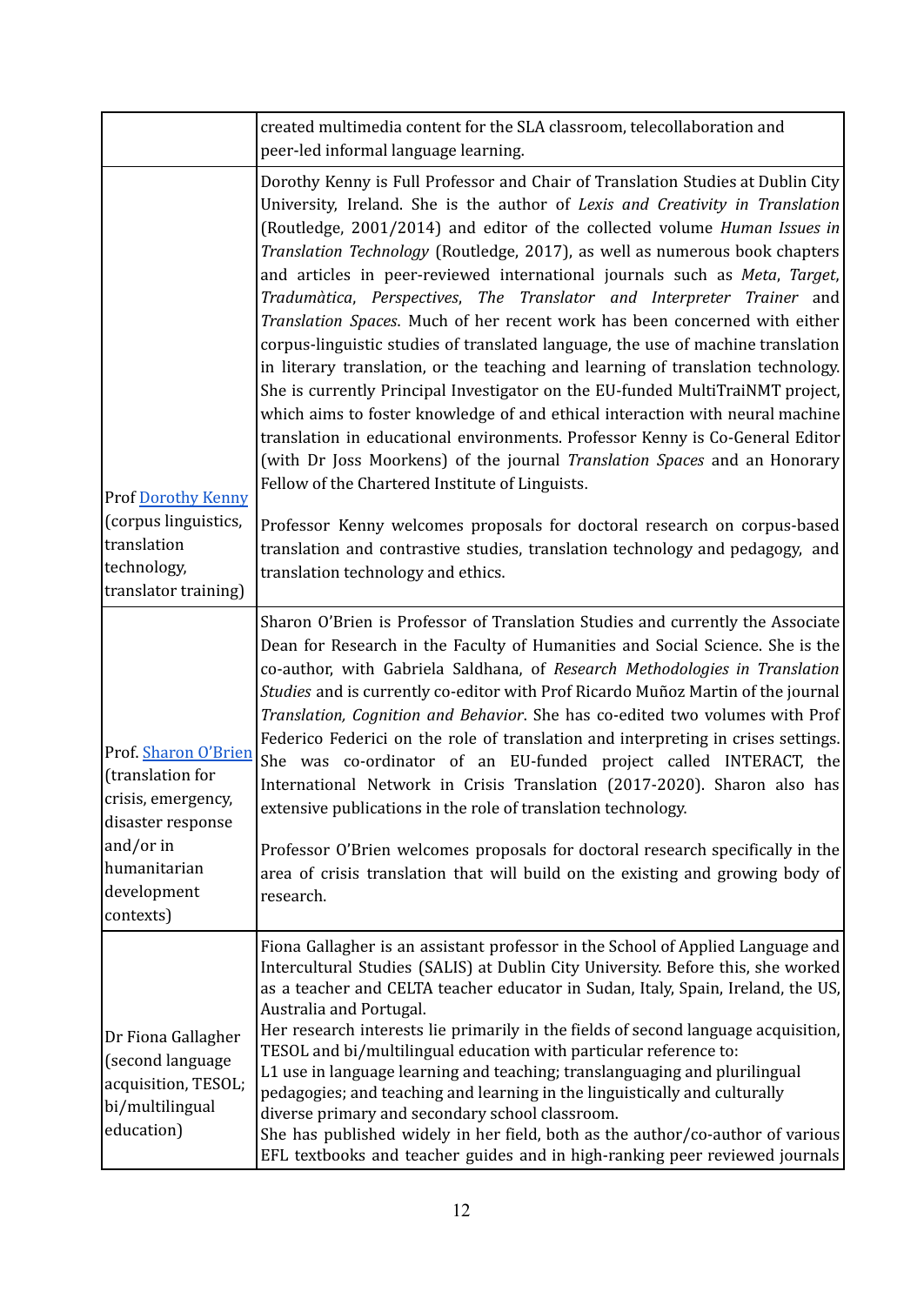|                                                                                                                                              | created multimedia content for the SLA classroom, telecollaboration and<br>peer-led informal language learning.                                                                                                                                                                                                                                                                                                                                                                                                                                                                                                                                                                                                                                                                                                                                                                                                                                                                                                                                                                                                                                                                                                                                                                            |
|----------------------------------------------------------------------------------------------------------------------------------------------|--------------------------------------------------------------------------------------------------------------------------------------------------------------------------------------------------------------------------------------------------------------------------------------------------------------------------------------------------------------------------------------------------------------------------------------------------------------------------------------------------------------------------------------------------------------------------------------------------------------------------------------------------------------------------------------------------------------------------------------------------------------------------------------------------------------------------------------------------------------------------------------------------------------------------------------------------------------------------------------------------------------------------------------------------------------------------------------------------------------------------------------------------------------------------------------------------------------------------------------------------------------------------------------------|
| <b>Prof Dorothy Kenny</b><br>(corpus linguistics,<br>translation                                                                             | Dorothy Kenny is Full Professor and Chair of Translation Studies at Dublin City<br>University, Ireland. She is the author of Lexis and Creativity in Translation<br>(Routledge, 2001/2014) and editor of the collected volume Human Issues in<br>Translation Technology (Routledge, 2017), as well as numerous book chapters<br>and articles in peer-reviewed international journals such as Meta, Target,<br>Tradumàtica, Perspectives, The Translator and Interpreter Trainer and<br>Translation Spaces. Much of her recent work has been concerned with either<br>corpus-linguistic studies of translated language, the use of machine translation<br>in literary translation, or the teaching and learning of translation technology.<br>She is currently Principal Investigator on the EU-funded MultiTraiNMT project,<br>which aims to foster knowledge of and ethical interaction with neural machine<br>translation in educational environments. Professor Kenny is Co-General Editor<br>(with Dr Joss Moorkens) of the journal Translation Spaces and an Honorary<br>Fellow of the Chartered Institute of Linguists.<br>Professor Kenny welcomes proposals for doctoral research on corpus-based<br>translation and contrastive studies, translation technology and pedagogy, and |
| technology,<br>translator training)                                                                                                          | translation technology and ethics.                                                                                                                                                                                                                                                                                                                                                                                                                                                                                                                                                                                                                                                                                                                                                                                                                                                                                                                                                                                                                                                                                                                                                                                                                                                         |
| Prof. Sharon O'Brien<br>(translation for<br>crisis, emergency,<br>disaster response<br>and/or in<br>humanitarian<br>development<br>contexts) | Sharon O'Brien is Professor of Translation Studies and currently the Associate<br>Dean for Research in the Faculty of Humanities and Social Science. She is the<br>co-author, with Gabriela Saldhana, of Research Methodologies in Translation<br>Studies and is currently co-editor with Prof Ricardo Muñoz Martin of the journal<br>Translation, Cognition and Behavior. She has co-edited two volumes with Prof<br>Federico Federici on the role of translation and interpreting in crises settings.<br>She was co-ordinator of an EU-funded project called INTERACT, the<br>International Network in Crisis Translation (2017-2020). Sharon also has<br>extensive publications in the role of translation technology.<br>Professor O'Brien welcomes proposals for doctoral research specifically in the<br>area of crisis translation that will build on the existing and growing body of<br>research.                                                                                                                                                                                                                                                                                                                                                                                 |
| Dr Fiona Gallagher<br>(second language<br>acquisition, TESOL;<br>bi/multilingual<br>education)                                               | Fiona Gallagher is an assistant professor in the School of Applied Language and<br>Intercultural Studies (SALIS) at Dublin City University. Before this, she worked<br>as a teacher and CELTA teacher educator in Sudan, Italy, Spain, Ireland, the US,<br>Australia and Portugal.<br>Her research interests lie primarily in the fields of second language acquisition,<br>TESOL and bi/multilingual education with particular reference to:<br>L1 use in language learning and teaching; translanguaging and plurilingual<br>pedagogies; and teaching and learning in the linguistically and culturally<br>diverse primary and secondary school classroom.<br>She has published widely in her field, both as the author/co-author of various<br>EFL textbooks and teacher guides and in high-ranking peer reviewed journals                                                                                                                                                                                                                                                                                                                                                                                                                                                              |